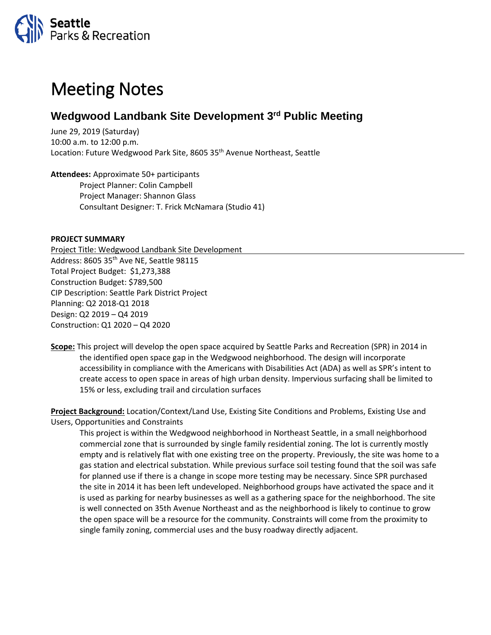

## Meeting Notes

## **Wedgwood Landbank Site Development 3rd Public Meeting**

June 29, 2019 (Saturday) 10:00 a.m. to 12:00 p.m. Location: Future Wedgwood Park Site, 8605 35<sup>th</sup> Avenue Northeast, Seattle

**Attendees:** Approximate 50+ participants Project Planner: Colin Campbell Project Manager: Shannon Glass Consultant Designer: T. Frick McNamara (Studio 41)

## **PROJECT SUMMARY**

Project Title: Wedgwood Landbank Site Development Address: 8605 35<sup>th</sup> Ave NE, Seattle 98115 Total Project Budget: \$1,273,388 Construction Budget: \$789,500 CIP Description: Seattle Park District Project Planning: Q2 2018-Q1 2018 Design: Q2 2019 – Q4 2019 Construction: Q1 2020 – Q4 2020

**Scope:** This project will develop the open space acquired by Seattle Parks and Recreation (SPR) in 2014 in the identified open space gap in the Wedgwood neighborhood. The design will incorporate accessibility in compliance with the Americans with Disabilities Act (ADA) as well as SPR's intent to create access to open space in areas of high urban density. Impervious surfacing shall be limited to 15% or less, excluding trail and circulation surfaces

**Project Background:** Location/Context/Land Use, Existing Site Conditions and Problems, Existing Use and Users, Opportunities and Constraints

This project is within the Wedgwood neighborhood in Northeast Seattle, in a small neighborhood commercial zone that is surrounded by single family residential zoning. The lot is currently mostly empty and is relatively flat with one existing tree on the property. Previously, the site was home to a gas station and electrical substation. While previous surface soil testing found that the soil was safe for planned use if there is a change in scope more testing may be necessary. Since SPR purchased the site in 2014 it has been left undeveloped. Neighborhood groups have activated the space and it is used as parking for nearby businesses as well as a gathering space for the neighborhood. The site is well connected on 35th Avenue Northeast and as the neighborhood is likely to continue to grow the open space will be a resource for the community. Constraints will come from the proximity to single family zoning, commercial uses and the busy roadway directly adjacent.